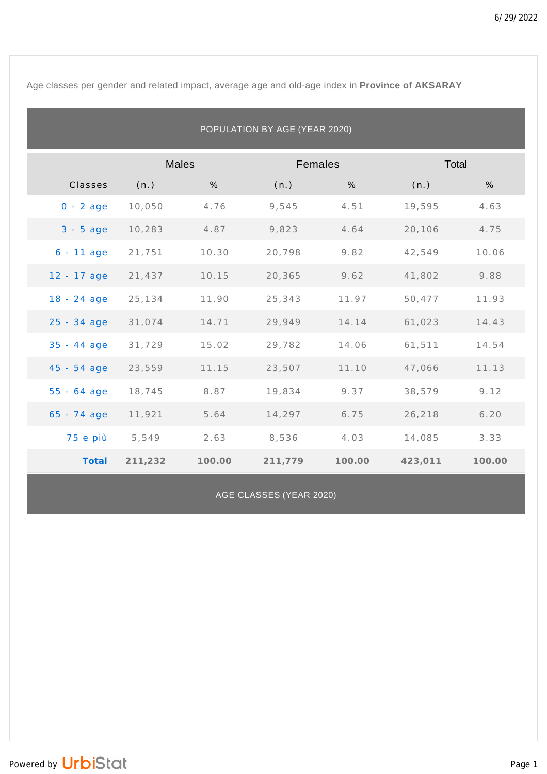Age classes per gender and related impact, average age and old-age index in **Province of AKSARAY**

| POPULATION BY AGE (YEAR 2020) |              |        |         |        |         |        |  |  |
|-------------------------------|--------------|--------|---------|--------|---------|--------|--|--|
|                               | <b>Males</b> |        | Females |        | Total   |        |  |  |
| Classes                       | (n.)         | %      | (n.)    | %      | (n.)    | %      |  |  |
| $0 - 2$ age                   | 10,050       | 4.76   | 9,545   | 4.51   | 19,595  | 4.63   |  |  |
| $3 - 5$ age                   | 10,283       | 4.87   | 9,823   | 4.64   | 20,106  | 4.75   |  |  |
| $6 - 11$ age                  | 21,751       | 10.30  | 20,798  | 9.82   | 42,549  | 10.06  |  |  |
| $12 - 17$ age                 | 21,437       | 10.15  | 20,365  | 9.62   | 41,802  | 9.88   |  |  |
| $18 - 24$ age                 | 25,134       | 11.90  | 25,343  | 11.97  | 50,477  | 11.93  |  |  |
| $25 - 34$ age                 | 31,074       | 14.71  | 29,949  | 14.14  | 61,023  | 14.43  |  |  |
| $35 - 44$ age                 | 31,729       | 15.02  | 29,782  | 14.06  | 61,511  | 14.54  |  |  |
| $45 - 54$ age                 | 23,559       | 11.15  | 23,507  | 11.10  | 47,066  | 11.13  |  |  |
| $55 - 64$ age                 | 18,745       | 8.87   | 19,834  | 9.37   | 38,579  | 9.12   |  |  |
| $65 - 74$ age                 | 11,921       | 5.64   | 14,297  | 6.75   | 26,218  | 6.20   |  |  |
| 75 e più                      | 5,549        | 2.63   | 8,536   | 4.03   | 14,085  | 3.33   |  |  |
| Total                         | 211,232      | 100.00 | 211,779 | 100.00 | 423,011 | 100.00 |  |  |

AGE CLASSES (YEAR 2020)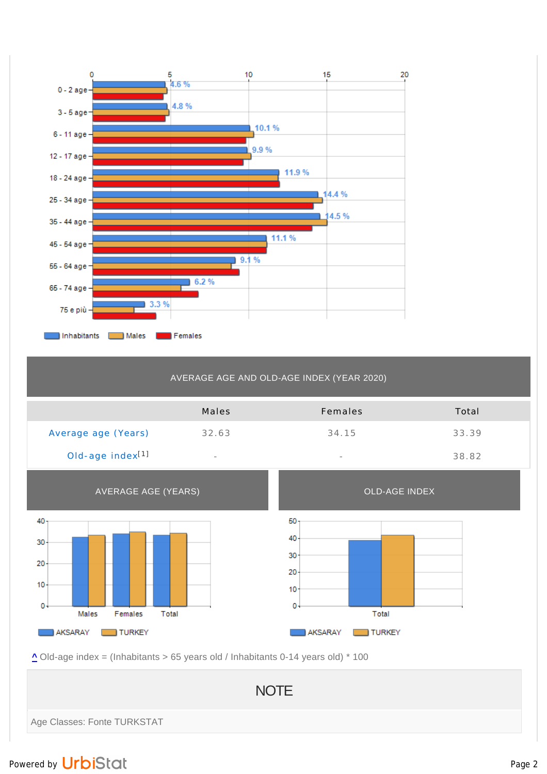

## AVERAGE AGE AND OLD-AGE INDEX (YEAR 2020)

|                              | Males  | Females                  | Total |
|------------------------------|--------|--------------------------|-------|
| Average age (Years)          | 32.63  | 34.15                    | 33.39 |
| Old-age index <sup>[1]</sup> | $\sim$ | $\overline{\phantom{a}}$ | 38.82 |



**^** Old-age index = (Inhabitants > 65 years old / Inhabitants 0-14 years old) \* 100

**NOTE** Age Classes: Fonte TURKSTAT

## Powered by UrbiStat and Page 2